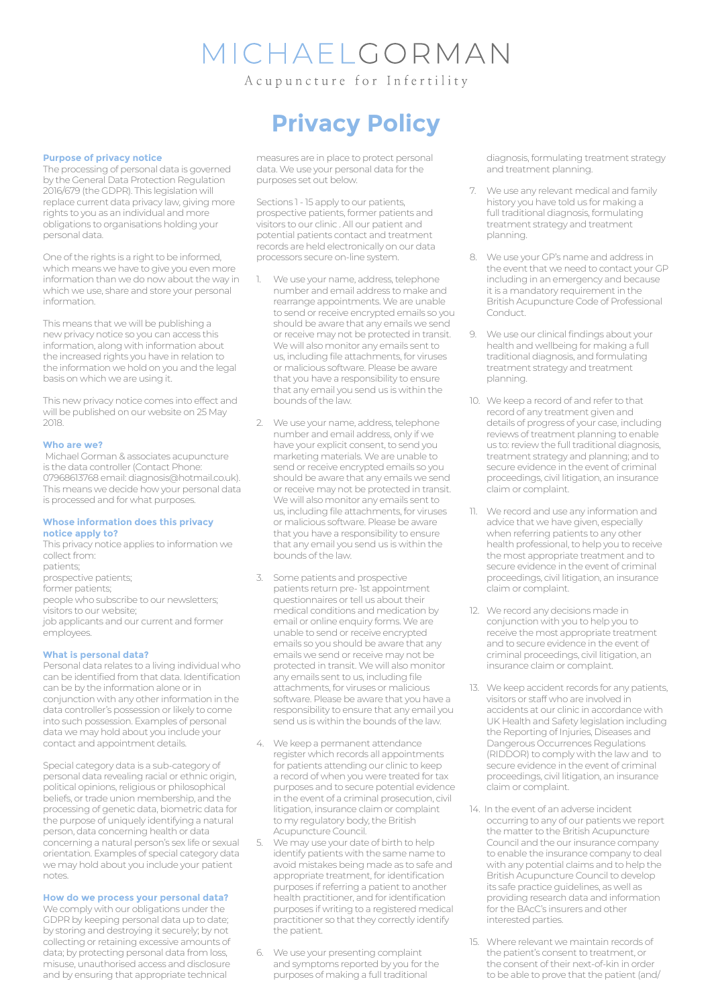# MICHAELGORMAN

A cupuncture for Infertility

## **Purpose of privacy notice**

The processing of personal data is governed by the General Data Protection Regulation 2016/679 (the GDPR). This legislation will replace current data privacy law, giving more rights to you as an individual and more obligations to organisations holding your personal data.

One of the rights is a right to be informed, which means we have to give you even more information than we do now about the way in which we use, share and store your personal information.

This means that we will be publishing a new privacy notice so you can access this information, along with information about the increased rights you have in relation to the information we hold on you and the legal basis on which we are using it.

This new privacy notice comes into effect and will be published on our website on 25 May 2018.

#### **Who are we?**

 Michael Gorman & associates acupuncture is the data controller (Contact Phone: 07968613768 email: diagnosis@hotmail.co.uk). This means we decide how your personal data is processed and for what purposes.

### **Whose information does this privacy notice apply to?**

This privacy notice applies to information we collect from: patients; prospective patients; former patients; people who subscribe to our newsletters; visitors to our website; job applicants and our current and former employees.

### **What is personal data?**

Personal data relates to a living individual who can be identified from that data. Identification can be by the information alone or in conjunction with any other information in the data controller's possession or likely to come into such possession. Examples of personal data we may hold about you include your contact and appointment details.

Special category data is a sub-category of personal data revealing racial or ethnic origin, political opinions, religious or philosophical beliefs, or trade union membership, and the processing of genetic data, biometric data for the purpose of uniquely identifying a natural person, data concerning health or data concerning a natural person's sex life or sexual orientation. Examples of special category data we may hold about you include your patient notes.

### **How do we process your personal data?**

We comply with our obligations under the GDPR by keeping personal data up to date; by storing and destroying it securely; by not collecting or retaining excessive amounts of data; by protecting personal data from loss, misuse, unauthorised access and disclosure and by ensuring that appropriate technical

# **Privacy Policy**

measures are in place to protect personal data. We use your personal data for the purposes set out below.

Sections 1 - 15 apply to our patients. prospective patients, former patients and visitors to our clinic . All our patient and potential patients contact and treatment records are held electronically on our data processors secure on-line system.

- We use your name, address, telephone number and email address to make and rearrange appointments. We are unable to send or receive encrypted emails so you should be aware that any emails we send or receive may not be protected in transit. We will also monitor any emails sent to us, including file attachments, for viruses or malicious software. Please be aware that you have a responsibility to ensure that any email you send us is within the bounds of the law.
- We use your name, address, telephone number and email address, only if we have your explicit consent, to send you marketing materials. We are unable to send or receive encrypted emails so you should be aware that any emails we send or receive may not be protected in transit. We will also monitor any emails sent to us, including file attachments, for viruses or malicious software. Please be aware that you have a responsibility to ensure that any email you send us is within the bounds of the law.
- 3. Some patients and prospective patients return pre- 1st appointment questionnaires or tell us about their medical conditions and medication by email or online enquiry forms. We are unable to send or receive encrypted emails so you should be aware that any emails we send or receive may not be protected in transit. We will also monitor any emails sent to us, including file attachments, for viruses or malicious software. Please be aware that you have a responsibility to ensure that any email you send us is within the bounds of the law.
- 4. We keep a permanent attendance register which records all appointments for patients attending our clinic to keep a record of when you were treated for tax purposes and to secure potential evidence in the event of a criminal prosecution, civil litigation, insurance claim or complaint to my regulatory body, the British Acupuncture Council.
- We may use your date of birth to help identify patients with the same name to avoid mistakes being made as to safe and appropriate treatment, for identification purposes if referring a patient to another health practitioner, and for identification purposes if writing to a registered medical practitioner so that they correctly identify the patient.
- 6. We use your presenting complaint and symptoms reported by you for the purposes of making a full traditional

diagnosis, formulating treatment strategy and treatment planning.

- 7. We use any relevant medical and family history you have told us for making a full traditional diagnosis, formulating treatment strategy and treatment planning.
- 8. We use your GP's name and address in the event that we need to contact your GP including in an emergency and because it is a mandatory requirement in the British Acupuncture Code of Professional **Conduct**
- 9. We use our clinical findings about your health and wellbeing for making a full traditional diagnosis, and formulating treatment strategy and treatment planning.
- 10. We keep a record of and refer to that record of any treatment given and details of progress of your case, including reviews of treatment planning to enable us to: review the full traditional diagnosis, treatment strategy and planning; and to secure evidence in the event of criminal proceedings, civil litigation, an insurance claim or complaint.
- 11. We record and use any information and advice that we have given, especially when referring patients to any other health professional, to help you to receive the most appropriate treatment and to secure evidence in the event of criminal proceedings, civil litigation, an insurance claim or complaint.
- 12. We record any decisions made in conjunction with you to help you to receive the most appropriate treatment and to secure evidence in the event of criminal proceedings, civil litigation, an insurance claim or complaint.
- 13. We keep accident records for any patients, visitors or staff who are involved in accidents at our clinic in accordance with UK Health and Safety legislation including the Reporting of Injuries, Diseases and Dangerous Occurrences Regulations (RIDDOR) to comply with the law and to secure evidence in the event of criminal proceedings, civil litigation, an insurance claim or complaint.
- 14. In the event of an adverse incident occurring to any of our patients we report the matter to the British Acupuncture Council and the our insurance company to enable the insurance company to deal with any potential claims and to help the British Acupuncture Council to develop its safe practice guidelines, as well as providing research data and information for the BAcC's insurers and other interested parties.
- 15. Where relevant we maintain records of the patient's consent to treatment, or the consent of their next-of-kin in order to be able to prove that the patient (and/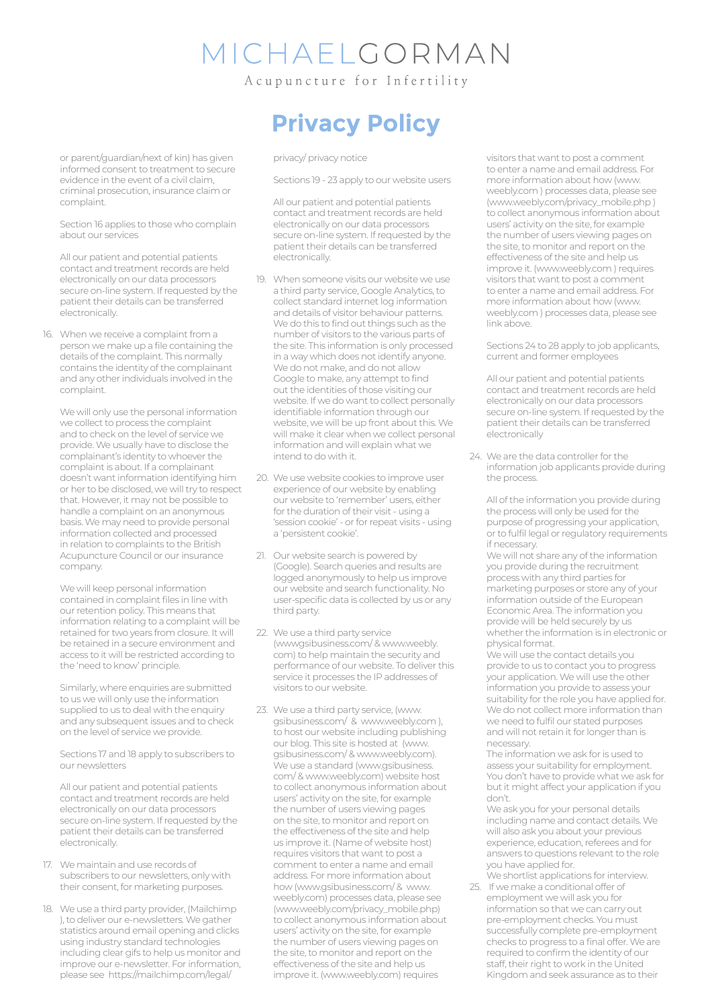# *IICHAELGORMAN*

Acupuncture for Infertility

or parent/guardian/next of kin) has given informed consent to treatment to secure evidence in the event of a civil claim, criminal prosecution, insurance claim or complaint.

Section 16 applies to those who complain about our services

All our patient and potential patients contact and treatment records are held electronically on our data processors secure on-line system. If requested by the patient their details can be transferred electronically.

16. When we receive a complaint from a person we make up a file containing the details of the complaint. This normally contains the identity of the complainant and any other individuals involved in the complaint.

We will only use the personal information we collect to process the complaint and to check on the level of service we provide. We usually have to disclose the complainant's identity to whoever the complaint is about. If a complainant doesn't want information identifying him or her to be disclosed, we will try to respect that. However, it may not be possible to handle a complaint on an anonymous basis. We may need to provide personal information collected and processed in relation to complaints to the British Acupuncture Council or our insurance company.

We will keep personal information contained in complaint files in line with our retention policy. This means that information relating to a complaint will be retained for two years from closure. It will be retained in a secure environment and access to it will be restricted according to the 'need to know' principle.

Similarly, where enquiries are submitted to us we will only use the information supplied to us to deal with the enquiry and any subsequent issues and to check on the level of service we provide.

Sections 17 and 18 apply to subscribers to our newsletters

All our patient and potential patients contact and treatment records are held electronically on our data processors secure on-line system. If requested by the patient their details can be transferred .<br>electronically.

- 17. We maintain and use records of subscribers to our newsletters, only with their consent, for marketing purposes.
- 18. We use a third party provider, (Mailchimp ), to deliver our e-newsletters. We gather statistics around email opening and clicks using industry standard technologies including clear gifs to help us monitor and improve our e-newsletter. For information, please see https://mailchimp.com/legal/

# **Privacy Policy**

privacy/ privacy notice

Sections 19 - 23 apply to our website users

All our patient and potential patients contact and treatment records are held electronically on our data processors secure on-line system. If requested by the patient their details can be transferred electronically.

- 19. When someone visits our website we use a third party service, Google Analytics, to collect standard internet log information and details of visitor behaviour patterns. We do this to find out things such as the number of visitors to the various parts of the site. This information is only processed in a way which does not identify anyone. We do not make, and do not allow Google to make, any attempt to find out the identities of those visiting our website. If we do want to collect personally identifiable information through our website, we will be up front about this. We will make it clear when we collect personal information and will explain what we intend to do with it.
- 20. We use website cookies to improve user experience of our website by enabling our website to 'remember' users, either for the duration of their visit - using a 'session cookie' - or for repeat visits - using a 'persistent cookie'.
- 21. Our website search is powered by (Google). Search queries and results are logged anonymously to help us improve our website and search functionality. No user-specific data is collected by us or any third party.
- 22. We use a third party service (wwwgsibusiness.com/ & www.weebly. com) to help maintain the security and performance of our website. To deliver this service it processes the IP addresses of visitors to our website.
- 23. We use a third party service, (www. gsibusiness.com/ & www.weebly.com ), to host our website including publishing our blog. This site is hosted at (www. gsibusiness.com/ & www.weebly.com). We use a standard (www.gsibusiness. com/ & www.weebly.com) website host to collect anonymous information about users' activity on the site, for example the number of users viewing pages on the site, to monitor and report on the effectiveness of the site and help us improve it. (Name of website host) requires visitors that want to post a comment to enter a name and email address. For more information about how (www.gsibusiness.com/ & www. weebly.com) processes data, please see (www.weebly.com/privacy\_mobile.php) to collect anonymous information about users' activity on the site, for example the number of users viewing pages on the site, to monitor and report on the effectiveness of the site and help us improve it. (www.weebly.com) requires

visitors that want to post a comment to enter a name and email address. For more information about how (www. weebly.com ) processes data, please see (www.weebly.com/privacy\_mobile.php ) to collect anonymous information about users' activity on the site, for example the number of users viewing pages on the site, to monitor and report on the effectiveness of the site and help us improve it. (www.weebly.com ) requires visitors that want to post a comment to enter a name and email address. For more information about how (www. weebly.com ) processes data, please see link above.

Sections 24 to 28 apply to job applicants, current and former employees

All our patient and potential patients contact and treatment records are held electronically on our data processors secure on-line system. If requested by the patient their details can be transferred electronically

24. We are the data controller for the information job applicants provide during the process.

All of the information you provide during the process will only be used for the purpose of progressing your application, or to fulfil legal or regulatory requirements if necessary.

We will not share any of the information you provide during the recruitment process with any third parties for marketing purposes or store any of your information outside of the European Economic Area. The information you provide will be held securely by us whether the information is in electronic or physical format.

We will use the contact details you provide to us to contact you to progress your application. We will use the other information you provide to assess your suitability for the role you have applied for. We do not collect more information than we need to fulfil our stated purposes and will not retain it for longer than is necessary.

The information we ask for is used to assess your suitability for employment. You don't have to provide what we ask for but it might affect your application if you don't.

We ask you for your personal details including name and contact details. We will also ask you about your previous experience, education, referees and for answers to questions relevant to the role you have applied for. We shortlist applications for interview.

25. If we make a conditional offer of employment we will ask you for information so that we can carry out pre-employment checks. You must successfully complete pre-employment checks to progress to a final offer. We are required to confirm the identity of our staff, their right to work in the United Kingdom and seek assurance as to their